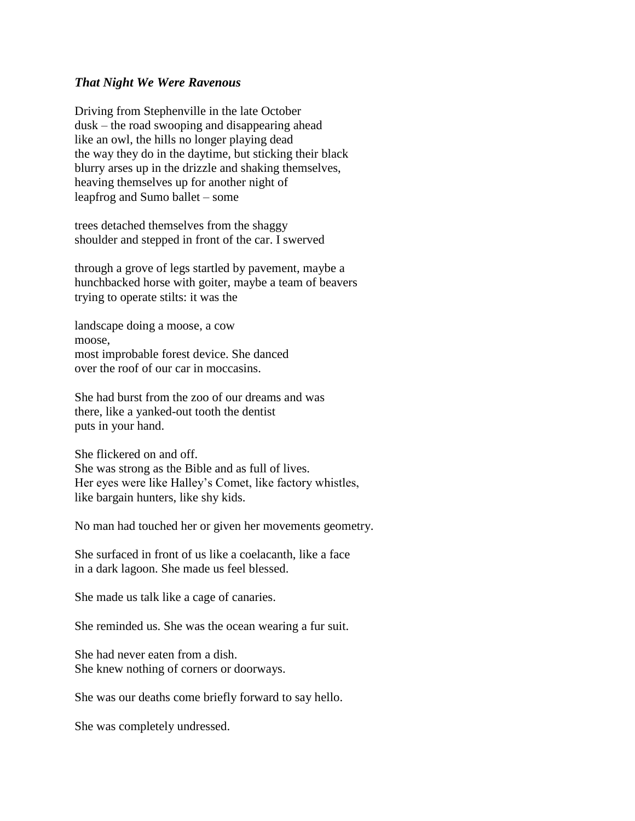## *That Night We Were Ravenous*

Driving from Stephenville in the late October dusk – the road swooping and disappearing ahead like an owl, the hills no longer playing dead the way they do in the daytime, but sticking their black blurry arses up in the drizzle and shaking themselves, heaving themselves up for another night of leapfrog and Sumo ballet – some

trees detached themselves from the shaggy shoulder and stepped in front of the car. I swerved

through a grove of legs startled by pavement, maybe a hunchbacked horse with goiter, maybe a team of beavers trying to operate stilts: it was the

landscape doing a moose, a cow moose, most improbable forest device. She danced over the roof of our car in moccasins.

She had burst from the zoo of our dreams and was there, like a yanked-out tooth the dentist puts in your hand.

She flickered on and off. She was strong as the Bible and as full of lives. Her eyes were like Halley's Comet, like factory whistles, like bargain hunters, like shy kids.

No man had touched her or given her movements geometry.

She surfaced in front of us like a coelacanth, like a face in a dark lagoon. She made us feel blessed.

She made us talk like a cage of canaries.

She reminded us. She was the ocean wearing a fur suit.

She had never eaten from a dish. She knew nothing of corners or doorways.

She was our deaths come briefly forward to say hello.

She was completely undressed.